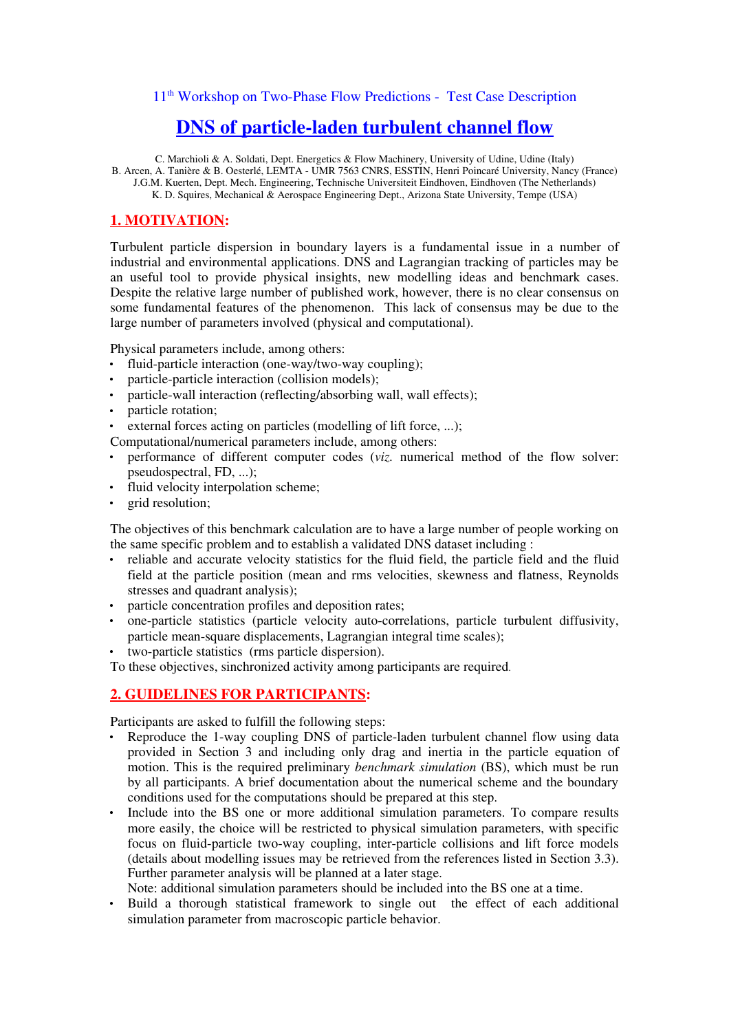#### 11th Workshop on Two-Phase Flow Predictions - Test Case Description

# **DNS of particle-laden turbulent channel flow**

C. Marchioli & A. Soldati, Dept. Energetics & Flow Machinery, University of Udine, Udine (Italy) B. Arcen, A. Tanière & B. Oesterlé, LEMTA - UMR 7563 CNRS, ESSTIN, Henri Poincaré University, Nancy (France) J.G.M. Kuerten, Dept. Mech. Engineering, Technische Universiteit Eindhoven, Eindhoven (The Netherlands)

#### K. D. Squires, Mechanical & Aerospace Engineering Dept., Arizona State University, Tempe (USA)

#### **1. MOTIVATION:**

Turbulent particle dispersion in boundary layers is a fundamental issue in a number of industrial and environmental applications. DNS and Lagrangian tracking of particles may be an useful tool to provide physical insights, new modelling ideas and benchmark cases. Despite the relative large number of published work, however, there is no clear consensus on some fundamental features of the phenomenon. This lack of consensus may be due to the large number of parameters involved (physical and computational).

Physical parameters include, among others:

- fluid-particle interaction (one-way/two-way coupling);
- particle-particle interaction (collision models);
- particle-wall interaction (reflecting/absorbing wall, wall effects);
- particle rotation;
- external forces acting on particles (modelling of lift force, ...);

Computational/numerical parameters include, among others:

- performance of different computer codes (*viz.* numerical method of the flow solver: pseudospectral, FD, ...);
- fluid velocity interpolation scheme;
- grid resolution;

The objectives of this benchmark calculation are to have a large number of people working on the same specific problem and to establish a validated DNS dataset including :

- reliable and accurate velocity statistics for the fluid field, the particle field and the fluid field at the particle position (mean and rms velocities, skewness and flatness, Reynolds stresses and quadrant analysis);
- particle concentration profiles and deposition rates;
- one-particle statistics (particle velocity auto-correlations, particle turbulent diffusivity, particle mean-square displacements, Lagrangian integral time scales);
- two-particle statistics (rms particle dispersion).

To these objectives, sinchronized activity among participants are required.

#### **2. GUIDELINES FOR PARTICIPANTS:**

Participants are asked to fulfill the following steps:

- Reproduce the 1-way coupling DNS of particle-laden turbulent channel flow using data provided in Section 3 and including only drag and inertia in the particle equation of motion. This is the required preliminary *benchmark simulation* (BS), which must be run by all participants. A brief documentation about the numerical scheme and the boundary conditions used for the computations should be prepared at this step.
- Include into the BS one or more additional simulation parameters. To compare results more easily, the choice will be restricted to physical simulation parameters, with specific focus on fluid-particle two-way coupling, inter-particle collisions and lift force models (details about modelling issues may be retrieved from the references listed in Section 3.3). Further parameter analysis will be planned at a later stage.

Note: additional simulation parameters should be included into the BS one at a time.

 Build a thorough statistical framework to single out the effect of each additional simulation parameter from macroscopic particle behavior.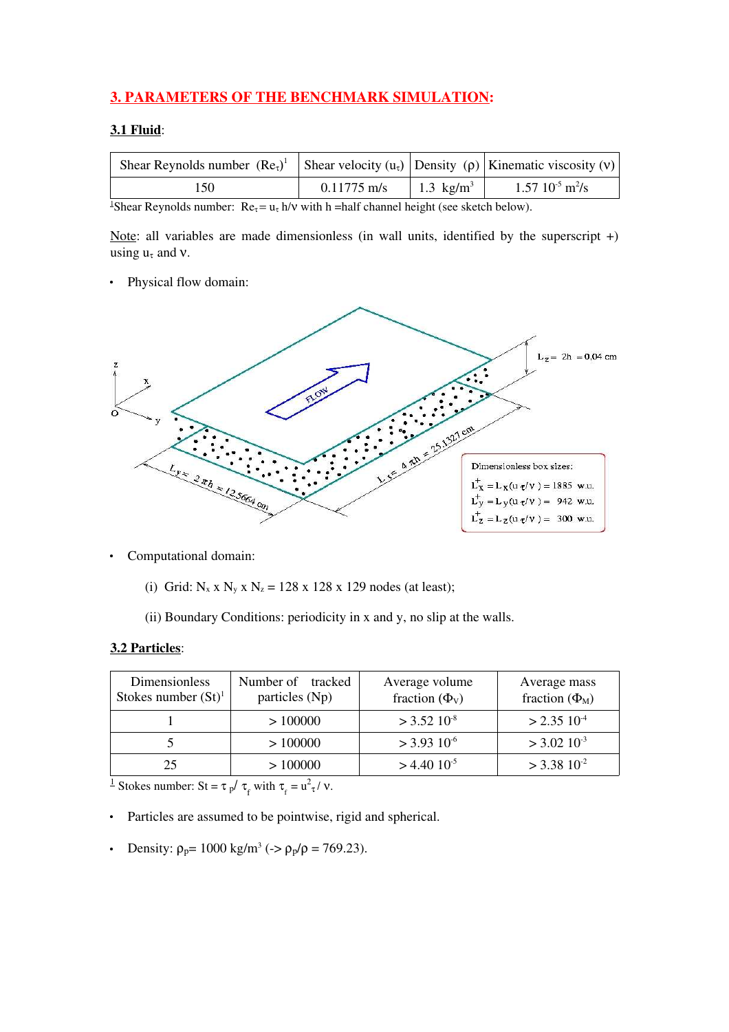## **3. PARAMETERS OF THE BENCHMARK SIMULATION:**

### **3.1 Fluid**:

| Shear Reynolds number $(Rez)1$   Shear velocity $(uz)$   Density $(\rho)$   Kinematic viscosity $(v)$ |               |                       |                                              |
|-------------------------------------------------------------------------------------------------------|---------------|-----------------------|----------------------------------------------|
| 50                                                                                                    | $0.11775$ m/s | 1.3 kg/m <sup>3</sup> | $1.57 \; 10^{-5} \; \mathrm{m}^2/\mathrm{s}$ |

<sup>1</sup>Shear Reynolds number:  $Re_\tau = u_\tau h/v$  with h = half channel height (see sketch below).

Note: all variables are made dimensionless (in wall units, identified by the superscript +) using  $u_{\tau}$  and  $v$ .

Physical flow domain:



Computational domain:

- (i) Grid:  $N_x$  x  $N_y$  x  $N_z$  = 128 x 128 x 129 nodes (at least);
- (ii) Boundary Conditions: periodicity in x and y, no slip at the walls.

#### **3.2 Particles**:

| <b>Dimensionless</b><br>Stokes number $(St)^1$ | Number of tracked<br>particles (Np) | Average volume<br>fraction $(\Phi_{V})$ | Average mass<br>fraction $(\Phi_M)$ |
|------------------------------------------------|-------------------------------------|-----------------------------------------|-------------------------------------|
|                                                | > 100000                            | $>$ 3.52 10 <sup>-8</sup>               | $> 2.35$ 10 <sup>-4</sup>           |
|                                                | >100000                             | $>$ 3.93 10 <sup>-6</sup>               | $>$ 3.02 10 <sup>-3</sup>           |
| 25                                             | > 100000                            | $>$ 4.40 10 <sup>-5</sup>               | $>$ 3.38 10 <sup>-2</sup>           |

<sup>1</sup> Stokes number: St =  $\tau$  <sub>p</sub>/  $\tau$ <sub>f</sub> with  $\tau$ <sub>f</sub> =  $u^2 \tau / v$ .

- Particles are assumed to be pointwise, rigid and spherical.
- Density:  $\rho_p = 1000 \text{ kg/m}^3$  ( $\Rightarrow \rho_p / \rho = 769.23$ ).